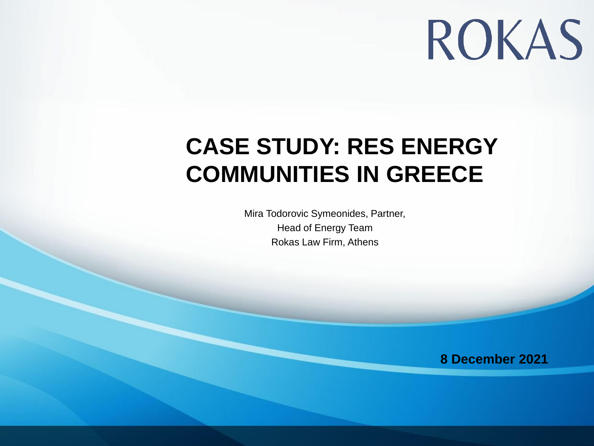# ROKAS

#### **CASE STUDY: RES ENERGY COMMUNITIES IN GREECE**

Mira Todorovic Symeonides, Partner, Head of Energy Team Rokas Law Firm, Athens

**8 December 2021**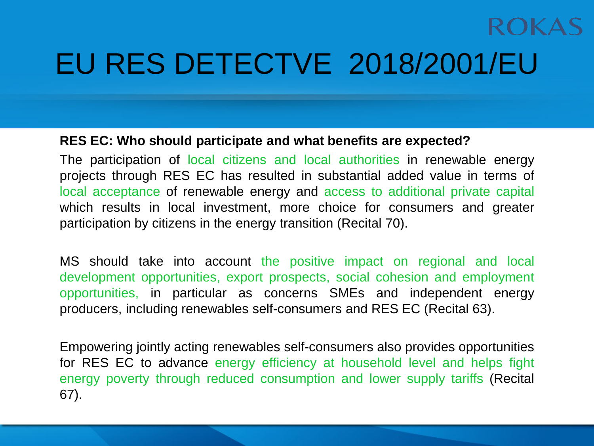### EU RES DETECTVE 2018/2001/EU

#### **RES EC: Who should participate and what benefits are expected?**

The participation of local citizens and local authorities in renewable energy projects through RES EC has resulted in substantial added value in terms of local acceptance of renewable energy and access to additional private capital which results in local investment, more choice for consumers and greater participation by citizens in the energy transition (Recital 70).

MS should take into account the positive impact on regional and local development opportunities, export prospects, social cohesion and employment opportunities, in particular as concerns SMEs and independent energy producers, including renewables self-consumers and RES EC (Recital 63).

Empowering jointly acting renewables self-consumers also provides opportunities for RES EC to advance energy efficiency at household level and helps fight energy poverty through reduced consumption and lower supply tariffs (Recital 67).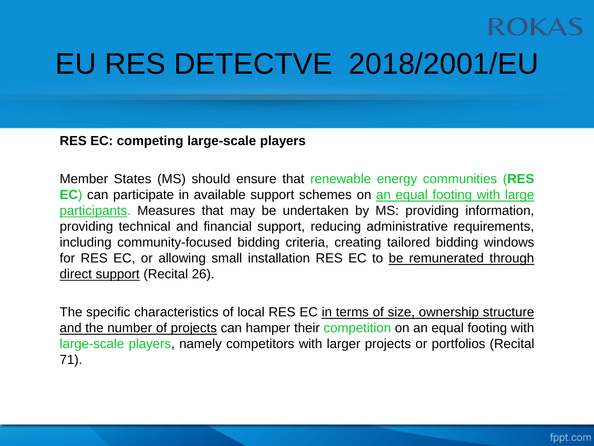### EU RES DETECTVE 2018/2001/EU

#### **RES EC: competing large-scale players**

Member States (MS) should ensure that renewable energy communities (**RES EC**) can participate in available support schemes on an equal footing with large participants. Measures that may be undertaken by MS: providing information, providing technical and financial support, reducing administrative requirements, including community-focused bidding criteria, creating tailored bidding windows for RES EC, or allowing small installation RES EC to be remunerated through direct support (Recital 26).

The specific characteristics of local RES EC in terms of size, ownership structure and the number of projects can hamper their competition on an equal footing with large-scale players, namely competitors with larger projects or portfolios (Recital 71).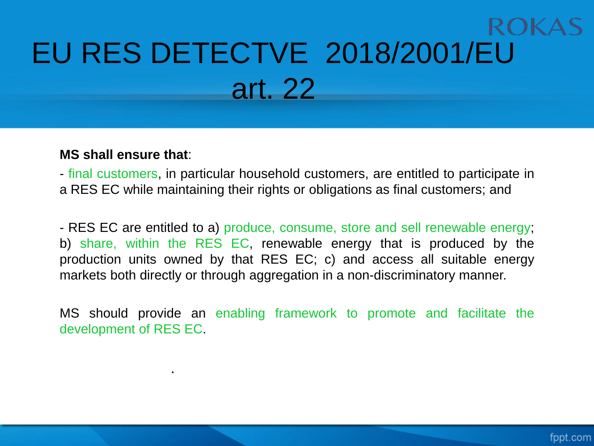# EU RES DETECTVE 2018/2001/EU art. 22

#### **MS shall ensure that**:

.

- final customers, in particular household customers, are entitled to participate in a RES EC while maintaining their rights or obligations as final customers; and

- RES EC are entitled to a) produce, consume, store and sell renewable energy; b) share, within the RES EC, renewable energy that is produced by the production units owned by that RES EC; c) and access all suitable energy markets both directly or through aggregation in a non-discriminatory manner.

MS should provide an enabling framework to promote and facilitate the development of RES EC.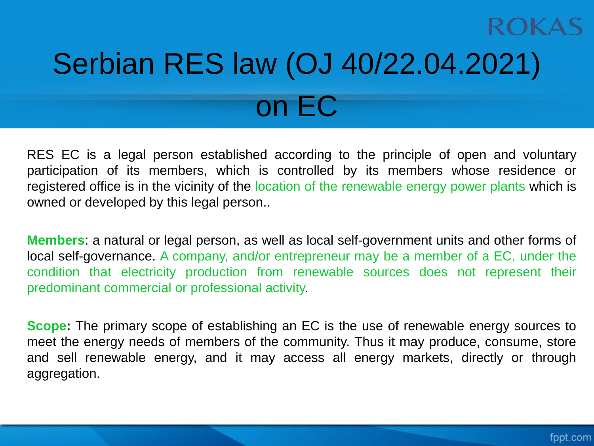# Serbian RES law (OJ 40/22.04.2021) on EC

RES EC is a legal person established according to the principle of open and voluntary participation of its members, which is controlled by its members whose residence or registered office is in the vicinity of the location of the renewable energy power plants which is owned or developed by this legal person..

**Members**: a natural or legal person, as well as local self-government units and other forms of local self-governance. A company, and/or entrepreneur may be a member of a EC, under the condition that electricity production from renewable sources does not represent their predominant commercial or professional activity.

**Scope:** The primary scope of establishing an EC is the use of renewable energy sources to meet the energy needs of members of the community. Thus it may produce, consume, store and sell renewable energy, and it may access all energy markets, directly or through aggregation.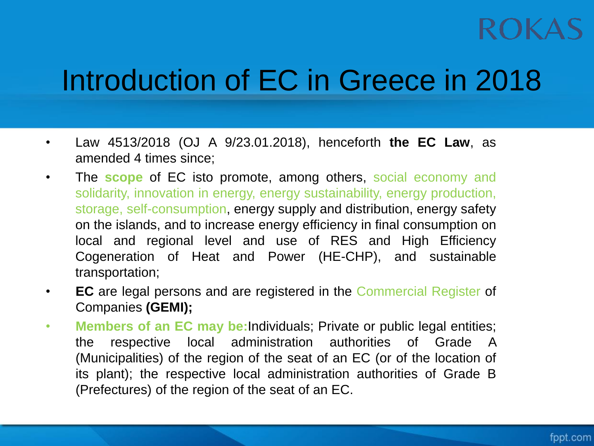### Introduction of EC in Greece in 2018

- Law 4513/2018 (OJ A 9/23.01.2018), henceforth **the EC Law**, as amended 4 times since;
- The **scope** of EC isto promote, among others, social economy and solidarity, innovation in energy, energy sustainability, energy production, storage, self-consumption, energy supply and distribution, energy safety on the islands, and to increase energy efficiency in final consumption on local and regional level and use of RES and High Efficiency Cogeneration of Heat and Power (HE-CHP), and sustainable transportation;
- **EC** are legal persons and are registered in the Commercial Register of Companies **(GEMI);**
- **Members of an EC may be:**Individuals; Private or public legal entities; the respective local administration authorities of Grade A (Municipalities) of the region of the seat of an EC (or of the location of its plant); the respective local administration authorities of Grade B (Prefectures) of the region of the seat of an EC.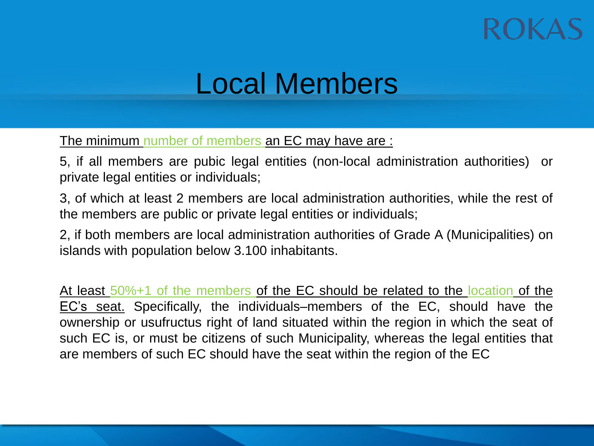#### Local Members

The minimum number of members an EC may have are :

5, if all members are pubic legal entities (non-local administration authorities) or private legal entities or individuals;

3, of which at least 2 members are local administration authorities, while the rest of the members are public or private legal entities or individuals;

2, if both members are local administration authorities of Grade A (Municipalities) on islands with population below 3.100 inhabitants.

At least 50%+1 of the members of the EC should be related to the location of the EC's seat. Specifically, the individuals–members of the EC, should have the ownership or usufructus right of land situated within the region in which the seat of such EC is, or must be citizens of such Municipality, whereas the legal entities that are members of such EC should have the seat within the region of the EC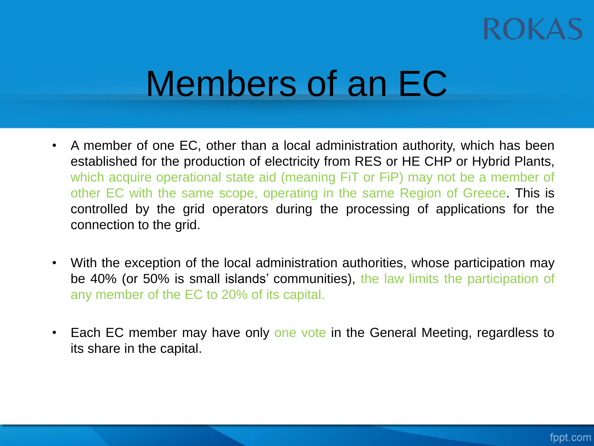## Members of an EC

- A member of one EC, other than a local administration authority, which has been established for the production of electricity from RES or HE CHP or Hybrid Plants, which acquire operational state aid (meaning FiT or FiP) may not be a member of other EC with the same scope, operating in the same Region of Greece. This is controlled by the grid operators during the processing of applications for the connection to the grid.
- With the exception of the local administration authorities, whose participation may be 40% (or 50% is small islands' communities), the law limits the participation of any member of the EC to 20% of its capital.
- Each EC member may have only one vote in the General Meeting, regardless to its share in the capital.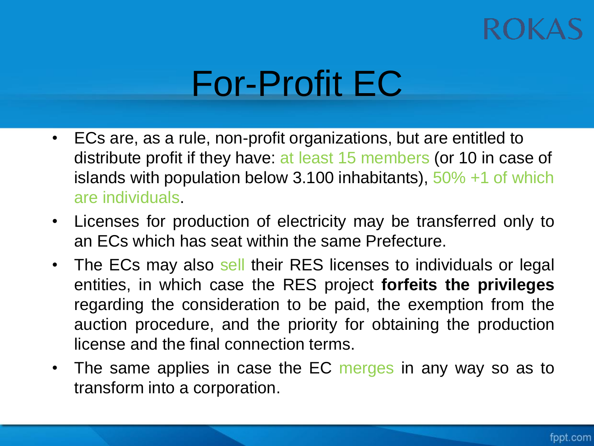### ROKA

## For-Profit EC

- ECs are, as a rule, non-profit organizations, but are entitled to distribute profit if they have: at least 15 members (or 10 in case of islands with population below 3.100 inhabitants),  $50\% +1$  of which are individuals.
- Licenses for production of electricity may be transferred only to an ECs which has seat within the same Prefecture.
- The ECs may also sell their RES licenses to individuals or legal entities, in which case the RES project **forfeits the privileges** regarding the consideration to be paid, the exemption from the auction procedure, and the priority for obtaining the production license and the final connection terms.
- The same applies in case the EC merges in any way so as to transform into a corporation.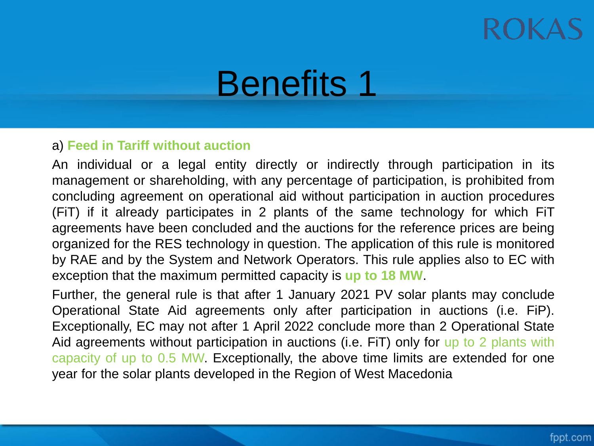#### ROKA

### Benefits 1

#### a) **Feed in Tariff without auction**

An individual or a legal entity directly or indirectly through participation in its management or shareholding, with any percentage of participation, is prohibited from concluding agreement on operational aid without participation in auction procedures (FiT) if it already participates in 2 plants of the same technology for which FiT agreements have been concluded and the auctions for the reference prices are being organized for the RES technology in question. The application of this rule is monitored by RAE and by the System and Network Operators. This rule applies also to EC with exception that the maximum permitted capacity is **up to 18 MW**.

Further, the general rule is that after 1 January 2021 PV solar plants may conclude Operational State Aid agreements only after participation in auctions (i.e. FiP). Exceptionally, EC may not after 1 April 2022 conclude more than 2 Operational State Aid agreements without participation in auctions (i.e. FiT) only for up to 2 plants with capacity of up to 0.5 MW. Exceptionally, the above time limits are extended for one year for the solar plants developed in the Region of West Macedonia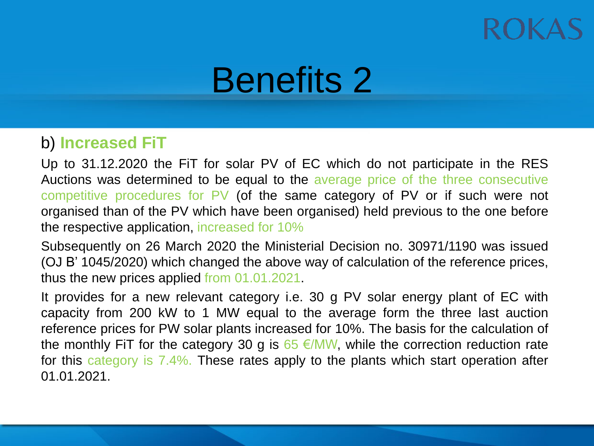## Benefits 2

#### b) **Increased FiT**

Up to 31.12.2020 the FiT for solar PV of EC which do not participate in the RES Auctions was determined to be equal to the average price of the three consecutive competitive procedures for PV (of the same category of PV or if such were not organised than of the PV which have been organised) held previous to the one before the respective application, increased for 10%

Subsequently on 26 March 2020 the Ministerial Decision no. 30971/1190 was issued (OJ B' 1045/2020) which changed the above way of calculation of the reference prices, thus the new prices applied from 01.01.2021.

It provides for a new relevant category i.e. 30 g PV solar energy plant of EC with capacity from 200 kW to 1 MW equal to the average form the three last auction reference prices for PW solar plants increased for 10%. The basis for the calculation of the monthly FiT for the category 30 g is  $65 \in$ /MW, while the correction reduction rate for this category is 7.4%. These rates apply to the plants which start operation after 01.01.2021.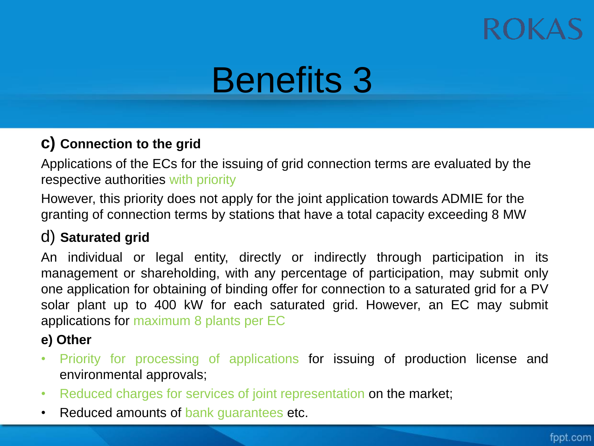### ROKA

## Benefits 3

#### **c) Connection to the grid**

Applications of the ECs for the issuing of grid connection terms are evaluated by the respective authorities with priority

However, this priority does not apply for the joint application towards ADMIE for the granting of connection terms by stations that have a total capacity exceeding 8 MW

#### d) **Saturated grid**

An individual or legal entity, directly or indirectly through participation in its management or shareholding, with any percentage of participation, may submit only one application for obtaining of binding offer for connection to a saturated grid for a PV solar plant up to 400 kW for each saturated grid. However, an EC may submit applications for maximum 8 plants per EC

#### **e) Other**

- Priority for processing of applications for issuing of production license and environmental approvals;
- Reduced charges for services of joint representation on the market;
- Reduced amounts of bank guarantees etc.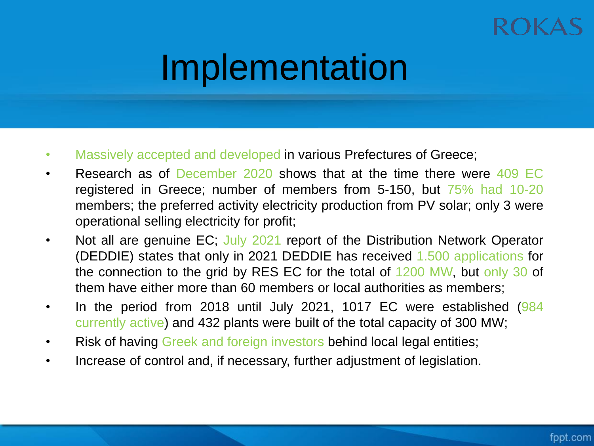## Implementation

- Massively accepted and developed in various Prefectures of Greece;
- Research as of December 2020 shows that at the time there were 409 EC registered in Greece; number of members from 5-150, but 75% had 10-20 members; the preferred activity electricity production from PV solar; only 3 were operational selling electricity for profit;
- Not all are genuine EC; July 2021 report of the Distribution Network Operator (DEDDIE) states that only in 2021 DEDDIE has received 1.500 applications for the connection to the grid by RES EC for the total of 1200 MW, but only 30 of them have either more than 60 members or local authorities as members;
- In the period from 2018 until July 2021, 1017 EC were established (984) currently active) and 432 plants were built of the total capacity of 300 MW;
- Risk of having Greek and foreign investors behind local legal entities;
- Increase of control and, if necessary, further adjustment of legislation.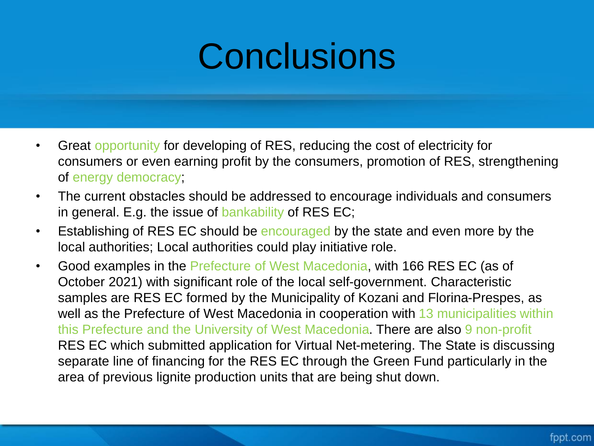## **Conclusions**

- Great opportunity for developing of RES, reducing the cost of electricity for consumers or even earning profit by the consumers, promotion of RES, strengthening of energy democracy;
- The current obstacles should be addressed to encourage individuals and consumers in general. E.g. the issue of bankability of RES EC;
- Establishing of RES EC should be encouraged by the state and even more by the local authorities; Local authorities could play initiative role.
- Good examples in the Prefecture of West Macedonia, with 166 RES EC (as of October 2021) with significant role of the local self-government. Characteristic samples are RES EC formed by the Municipality of Kozani and Florina-Prespes, as well as the Prefecture of West Macedonia in cooperation with 13 municipalities within this Prefecture and the University of West Macedonia. There are also 9 non-profit RES EC which submitted application for Virtual Net-metering. The State is discussing separate line of financing for the RES EC through the Green Fund particularly in the area of previous lignite production units that are being shut down.